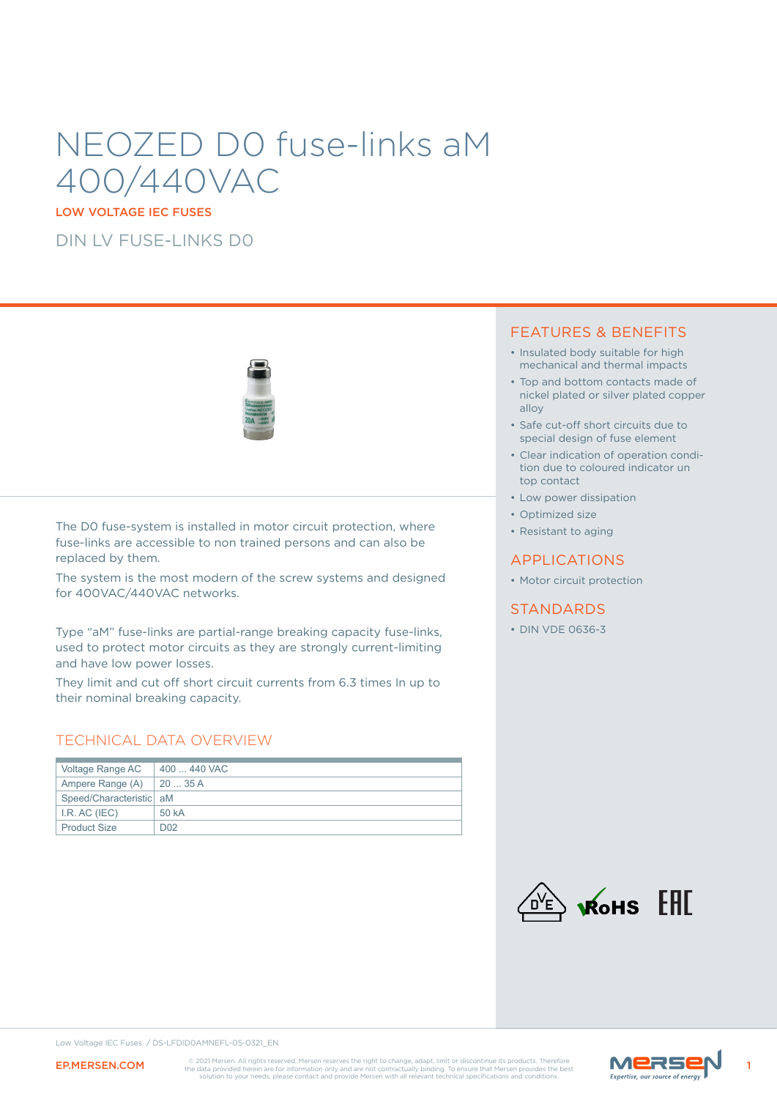# NEOZED D0 fuse-links aM 400/440VAC

LOW VOLTAGE IEC FUSES

DIN LV FUSE-LINKS D0



The D0 fuse-system is installed in motor circuit protection, where fuse-links are accessible to non trained persons and can also be replaced by them.

The system is the most modern of the screw systems and designed for 400VAC/440VAC networks.

Type "aM" fuse-links are partial-range breaking capacity fuse-links, used to protect motor circuits as they are strongly current-limiting and have low power losses.

They limit and cut off short circuit currents from 6.3 times In up to their nominal breaking capacity.

### TECHNICAL DATA OVERVIEW

| Voltage Range AC              | 400  440 VAC     |
|-------------------------------|------------------|
| Ampere Range $(A)$   20  35 A |                  |
| Speed/Characteristic   aM     |                  |
| I.R. AC (IEC)                 | 50 kA            |
| <b>Product Size</b>           | D <sub>0</sub> 2 |

### FEATURES & BENEFITS

- Insulated body suitable for high mechanical and thermal impacts
- Top and bottom contacts made of nickel plated or silver plated copper alloy
- Safe cut-off short circuits due to special design of fuse element
- Clear indication of operation condition due to coloured indicator un top contact
- Low power dissipation
- Optimized size
- Resistant to aging

### APPLICATIONS

• Motor circuit protection

### **STANDARDS**

• DIN VDE 0636-3



Low Voltage IEC Fuses / DS-LFDID0AMNEFL-05-0321\_EN

EP.MERSEN.COM CO201 Mersen. All rights reserved. Mersen reserves the right to change, adapt, limit or discontinue its products. Therefore Marshall and the data provided herein are for information only and are not contractu

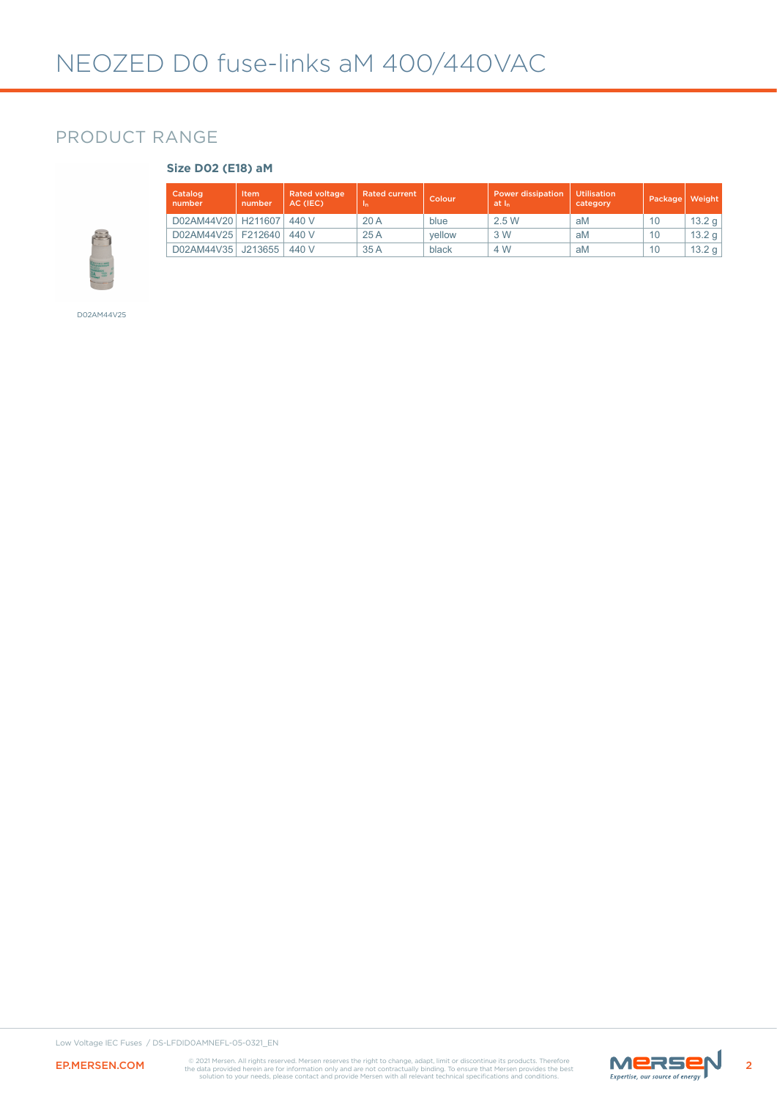# PRODUCT RANGE

#### **Size D02 (E18) aM**

| Catalog<br>number    | Item<br>number | <b>Rated voltage</b><br>AC (IEC) | <b>Rated current</b><br>1n | Colour | <b>Power dissipation</b><br>at I <sub>n</sub> | <b>Utilisation</b><br>category | Package | Weight |
|----------------------|----------------|----------------------------------|----------------------------|--------|-----------------------------------------------|--------------------------------|---------|--------|
| D02AM44V20           | H211607        | 440 V                            | 20A                        | blue   | 2.5W                                          | aM                             | 10      | 13.2 g |
| D02AM44V25   F212640 |                | 440 V                            | 25A                        | vellow | 3 W                                           | aM                             | 10      | 13.2 g |
| D02AM44V35           | J213655        | 440 V                            | 35 A                       | black  | 4 W                                           | aM                             | 10      | 13.2 g |

D02AM44V25

Low Voltage IEC Fuses / DS-LFDID0AMNEFL-05-0321\_EN



EP.MERSEN.COM CO2021 Mersen, All rights reserved. Mersen reserves the right to change, adapt, limit or discontinue its products. Therefore Marshall and the data provided herein are for information only and are not contract

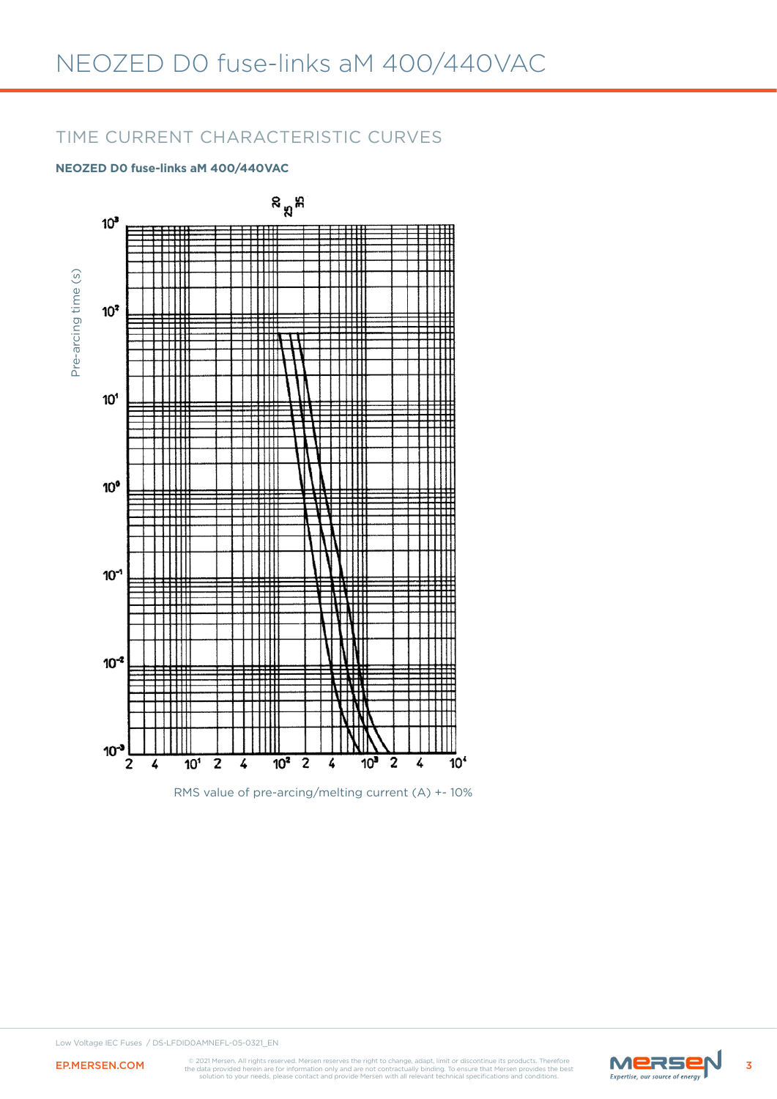# TIME CURRENT CHARACTERISTIC CURVES

### **NEOZED D0 fuse-links aM 400/440VAC**



RMS value of pre-arcing/melting current (A) +- 10%



EP.MERSEN.COM CO2021 Mersen. All rights reserved. Mersen reserves the right to change, adapt, limit or discontinue its products. Therefore Marson **Marson COM** the data provided herein are for information only and are not c

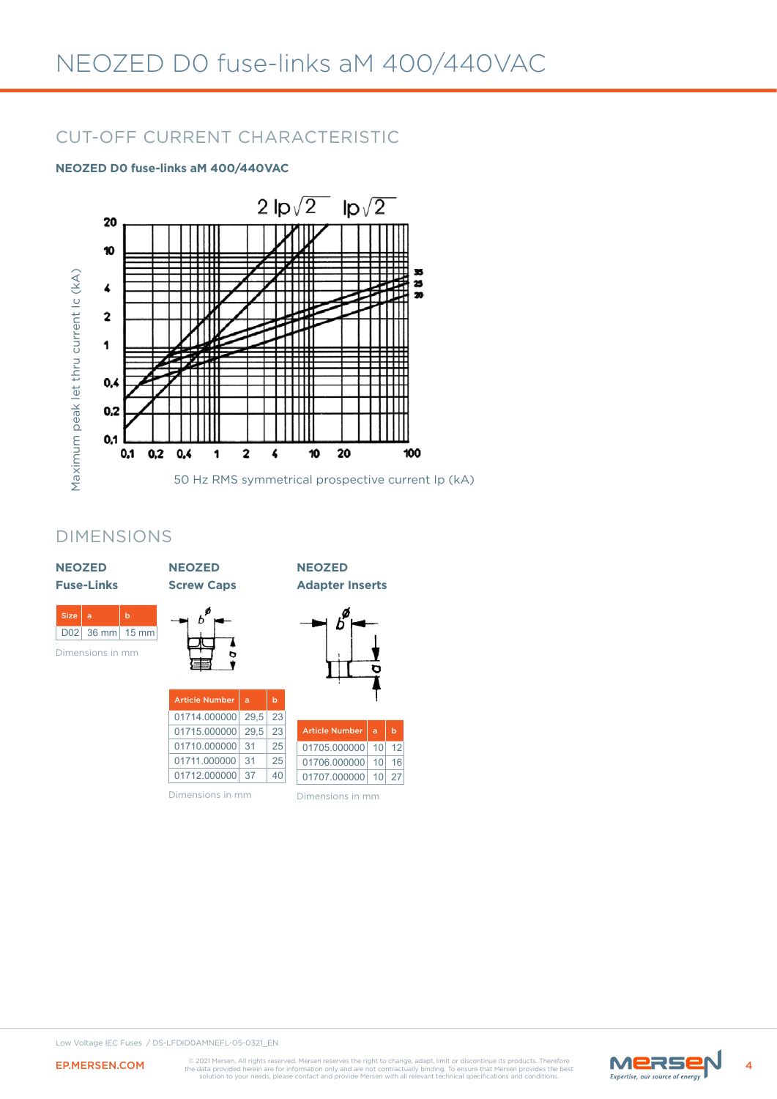# CUT-OFF CURRENT CHARACTERISTIC

### **NEOZED D0 fuse-links aM 400/440VAC**



### DIMENSIONS

| <b>NEOZED</b><br><b>Fuse-Links</b> |                  |                      | <b>NEOZED</b><br><b>Screw Caps</b> |      |             | <b>NEOZED</b><br><b>Adapter Inserts</b> |    |             |
|------------------------------------|------------------|----------------------|------------------------------------|------|-------------|-----------------------------------------|----|-------------|
| <b>Size</b><br>D <sub>02</sub>     | a<br>$36$ mm     | b<br>$15 \text{ mm}$ |                                    |      |             |                                         |    |             |
|                                    | Dimensions in mm |                      | <b>Article Number</b>              | a    | $\mathbf b$ |                                         |    |             |
|                                    |                  |                      | 01714.000000                       | 29,5 | 23          |                                         |    |             |
|                                    |                  |                      | 01715.000000                       | 29,5 | 23          | <b>Article Number</b>                   | a  | $\mathbf b$ |
|                                    |                  |                      | 01710.000000                       | 31   | 25          | 01705.000000                            | 10 | 12          |
|                                    |                  |                      | 01711.000000                       | 31   | 25          | 01706.000000                            | 10 | 16          |
|                                    |                  |                      | 01712.000000                       | 37   | 40          | 01707.000000                            | 10 | 27          |
|                                    |                  |                      | Dimensions in mm                   |      |             | Dimensions in mm                        |    |             |



EP.MERSEN.COM CO2021 Mersen. All rights reserved. Mersen reserves the right to change, adapt, limit or discontinue its products. Therefore Marson **Marson COM** the data provided herein are for information only and are not c